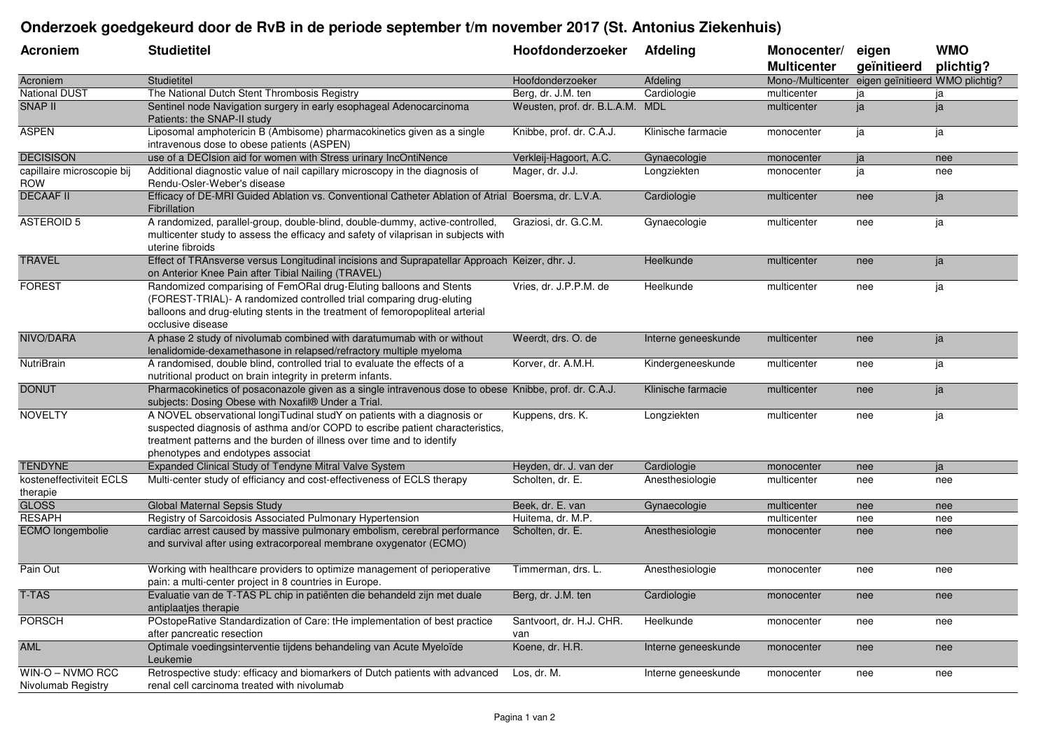## **Onderzoek goedgekeurd door de RvB in de periode september t/m november 2017 (St. Antonius Ziekenhuis)**

| <b>Acroniem</b>                          | <b>Studietitel</b>                                                                                                                                                                                                                                                       | Hoofdonderzoeker                | Afdeling            | Monocenter/<br><b>Multicenter</b>                 | eigen<br>geïnitieerd | <b>WMO</b><br>plichtig? |
|------------------------------------------|--------------------------------------------------------------------------------------------------------------------------------------------------------------------------------------------------------------------------------------------------------------------------|---------------------------------|---------------------|---------------------------------------------------|----------------------|-------------------------|
| Acroniem                                 | Studietitel                                                                                                                                                                                                                                                              | Hoofdonderzoeker                | Afdeling            | Mono-/Multicenter eigen geïnitieerd WMO plichtig? |                      |                         |
| <b>National DUST</b>                     | The National Dutch Stent Thrombosis Registry                                                                                                                                                                                                                             | Berg, dr. J.M. ten              | Cardiologie         | multicenter                                       | ja                   | ja                      |
| <b>SNAP II</b>                           | Sentinel node Navigation surgery in early esophageal Adenocarcinoma<br>Patients: the SNAP-II study                                                                                                                                                                       | Weusten, prof. dr. B.L.A.M. MDL |                     | multicenter                                       | ja                   | ja                      |
| <b>ASPEN</b>                             | Liposomal amphotericin B (Ambisome) pharmacokinetics given as a single<br>intravenous dose to obese patients (ASPEN)                                                                                                                                                     | Knibbe, prof. dr. C.A.J.        | Klinische farmacie  | monocenter                                        | ja                   | ja                      |
| <b>DECISISON</b>                         | use of a DECIsion aid for women with Stress urinary IncOntiNence                                                                                                                                                                                                         | Verkleij-Hagoort, A.C.          | Gynaecologie        | monocenter                                        | ja                   | nee                     |
| capillaire microscopie bij<br><b>ROW</b> | Additional diagnostic value of nail capillary microscopy in the diagnosis of<br>Rendu-Osler-Weber's disease                                                                                                                                                              | Mager, dr. J.J.                 | Longziekten         | monocenter                                        | ja                   | nee                     |
| <b>DECAAF II</b>                         | Efficacy of DE-MRI Guided Ablation vs. Conventional Catheter Ablation of Atrial Boersma, dr. L.V.A.<br>Fibrillation                                                                                                                                                      |                                 | Cardiologie         | multicenter                                       | nee                  | ja                      |
| <b>ASTEROID 5</b>                        | A randomized, parallel-group, double-blind, double-dummy, active-controlled,<br>multicenter study to assess the efficacy and safety of vilaprisan in subjects with<br>uterine fibroids                                                                                   | Graziosi, dr. G.C.M.            | Gynaecologie        | multicenter                                       | nee                  | ja                      |
| <b>TRAVEL</b>                            | Effect of TRAnsverse versus Longitudinal incisions and Suprapatellar Approach Keizer, dhr. J.<br>on Anterior Knee Pain after Tibial Nailing (TRAVEL)                                                                                                                     |                                 | Heelkunde           | multicenter                                       | nee                  | ja                      |
| <b>FOREST</b>                            | Randomized comparising of FemORal drug-Eluting balloons and Stents<br>(FOREST-TRIAL)- A randomized controlled trial comparing drug-eluting<br>balloons and drug-eluting stents in the treatment of femoropopliteal arterial<br>occlusive disease                         | Vries, dr. J.P.P.M. de          | Heelkunde           | multicenter                                       | nee                  | ja                      |
| NIVO/DARA                                | A phase 2 study of nivolumab combined with daratumumab with or without<br>lenalidomide-dexamethasone in relapsed/refractory multiple myeloma                                                                                                                             | Weerdt, drs. O. de              | Interne geneeskunde | multicenter                                       | nee                  | ja                      |
| NutriBrain                               | A randomised, double blind, controlled trial to evaluate the effects of a<br>nutritional product on brain integrity in preterm infants.                                                                                                                                  | Korver, dr. A.M.H.              | Kindergeneeskunde   | multicenter                                       | nee                  | ja                      |
| <b>DONUT</b>                             | Pharmacokinetics of posaconazole given as a single intravenous dose to obese Knibbe, prof. dr. C.A.J.<br>subjects: Dosing Obese with Noxafil® Under a Trial.                                                                                                             |                                 | Klinische farmacie  | multicenter                                       | nee                  | ja                      |
| <b>NOVELTY</b>                           | A NOVEL observational longiTudinal studY on patients with a diagnosis or<br>suspected diagnosis of asthma and/or COPD to escribe patient characteristics,<br>treatment patterns and the burden of illness over time and to identify<br>phenotypes and endotypes associat | Kuppens, drs. K.                | Longziekten         | multicenter                                       | nee                  | ja                      |
| <b>TENDYNE</b>                           | Expanded Clinical Study of Tendyne Mitral Valve System                                                                                                                                                                                                                   | Heyden, dr. J. van der          | Cardiologie         | monocenter                                        | nee                  | ja                      |
| kosteneffectiviteit ECLS<br>therapie     | Multi-center study of efficiancy and cost-effectiveness of ECLS therapy                                                                                                                                                                                                  | Scholten, dr. E.                | Anesthesiologie     | multicenter                                       | nee                  | nee                     |
| <b>GLOSS</b>                             | Global Maternal Sepsis Study                                                                                                                                                                                                                                             | Beek, dr. E. van                | Gynaecologie        | multicenter                                       | nee                  | nee                     |
| <b>RESAPH</b>                            | Registry of Sarcoidosis Associated Pulmonary Hypertension                                                                                                                                                                                                                | Huitema, dr. M.P.               |                     | multicenter                                       | nee                  | nee                     |
| ECMO longembolie                         | cardiac arrest caused by massive pulmonary embolism, cerebral performance<br>and survival after using extracorporeal membrane oxygenator (ECMO)                                                                                                                          | Scholten, dr. E.                | Anesthesiologie     | monocenter                                        | nee                  | nee                     |
| Pain Out                                 | Working with healthcare providers to optimize management of perioperative<br>pain: a multi-center project in 8 countries in Europe.                                                                                                                                      | Timmerman, drs. L.              | Anesthesiologie     | monocenter                                        | nee                  | nee                     |
| <b>T-TAS</b>                             | Evaluatie van de T-TAS PL chip in patiënten die behandeld zijn met duale<br>antiplaatjes therapie                                                                                                                                                                        | Berg, dr. J.M. ten              | Cardiologie         | monocenter                                        | nee                  | nee                     |
| <b>PORSCH</b>                            | POstopeRative Standardization of Care: tHe implementation of best practice<br>after pancreatic resection                                                                                                                                                                 | Santvoort, dr. H.J. CHR.<br>van | Heelkunde           | monocenter                                        | nee                  | nee                     |
| <b>AML</b>                               | Optimale voedingsinterventie tijdens behandeling van Acute Myeloïde<br>Leukemie                                                                                                                                                                                          | Koene, dr. H.R.                 | Interne geneeskunde | monocenter                                        | nee                  | nee                     |
| WIN-O - NVMO RCC<br>Nivolumab Registry   | Retrospective study: efficacy and biomarkers of Dutch patients with advanced<br>renal cell carcinoma treated with nivolumab                                                                                                                                              | Los, dr. M.                     | Interne geneeskunde | monocenter                                        | nee                  | nee                     |